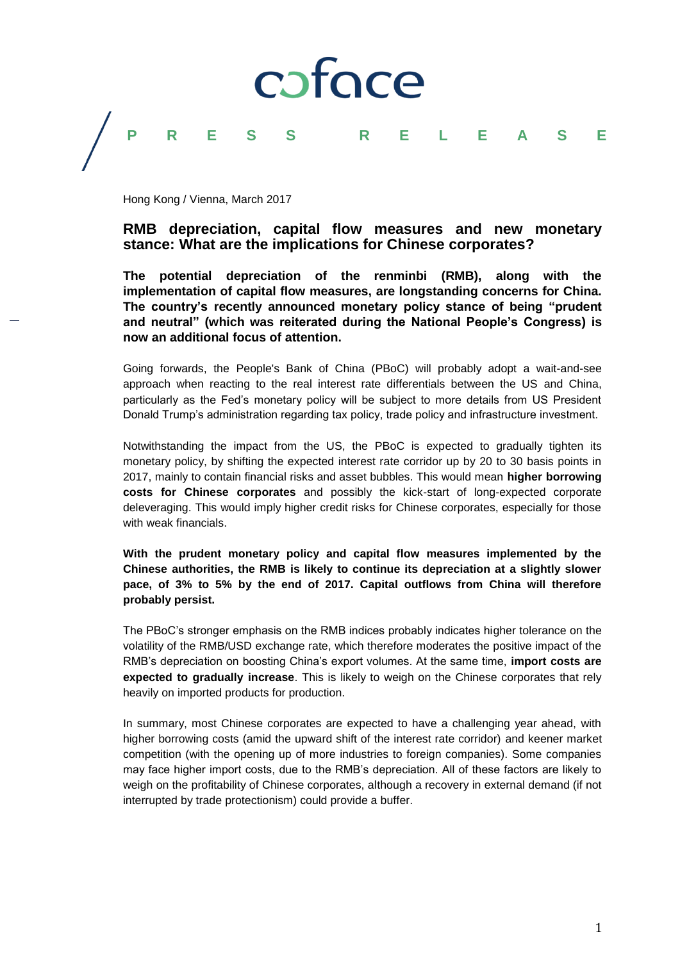

## **PRESS RELEASE**

Hong Kong / Vienna, March 2017

## **RMB depreciation, capital flow measures and new monetary stance: What are the implications for Chinese corporates?**

**The potential depreciation of the renminbi (RMB), along with the implementation of capital flow measures, are longstanding concerns for China. The country's recently announced monetary policy stance of being "prudent and neutral" (which was reiterated during the National People's Congress) is now an additional focus of attention.**

Going forwards, the People's Bank of China (PBoC) will probably adopt a wait-and-see approach when reacting to the real interest rate differentials between the US and China, particularly as the Fed's monetary policy will be subject to more details from US President Donald Trump's administration regarding tax policy, trade policy and infrastructure investment.

Notwithstanding the impact from the US, the PBoC is expected to gradually tighten its monetary policy, by shifting the expected interest rate corridor up by 20 to 30 basis points in 2017, mainly to contain financial risks and asset bubbles. This would mean **higher borrowing costs for Chinese corporates** and possibly the kick-start of long-expected corporate deleveraging. This would imply higher credit risks for Chinese corporates, especially for those with weak financials.

**With the prudent monetary policy and capital flow measures implemented by the Chinese authorities, the RMB is likely to continue its depreciation at a slightly slower pace, of 3% to 5% by the end of 2017. Capital outflows from China will therefore probably persist.**

The PBoC's stronger emphasis on the RMB indices probably indicates higher tolerance on the volatility of the RMB/USD exchange rate, which therefore moderates the positive impact of the RMB's depreciation on boosting China's export volumes. At the same time, **import costs are expected to gradually increase**. This is likely to weigh on the Chinese corporates that rely heavily on imported products for production.

In summary, most Chinese corporates are expected to have a challenging year ahead, with higher borrowing costs (amid the upward shift of the interest rate corridor) and keener market competition (with the opening up of more industries to foreign companies). Some companies may face higher import costs, due to the RMB's depreciation. All of these factors are likely to weigh on the profitability of Chinese corporates, although a recovery in external demand (if not interrupted by trade protectionism) could provide a buffer.